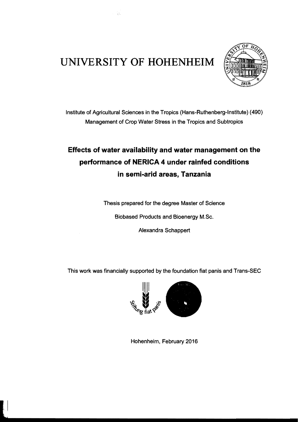## **UNlVERSITY OF HOHENHEIM**

Ŵ.



Institute of Agricultural Sciences in the Tropics (Hans-Ruthenberg-Institute) (490) Management of Crop Water Stress in the Tropics and Subtropics

## **Effects of water availability and water management on the performance of NERICA 4 under rainfed conditions in semi-arid areas, Tanzania**

Thesis prepared for the degree Master of Science

Biobased Products and Bioenergy M.Sc.

Alexandra SChappert

This work was financially supported by the foundation fiat panis and Trans-SEC



Hohenheim, February 2016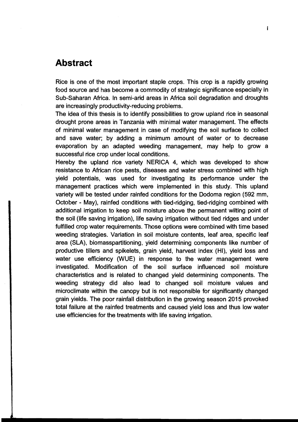## **Abstract**

Rice is one of the most important staple crops. This crop is a rapidly growing food source and has become a commodity of strategie significance especially in Sub-Saharan Africa. In semi-arid areas in Africa soil degradation and droughts are increasingly productivity-reducing problems.

The idea of this thesis is to identify possibilities to grow upland rice in seasonal drought prone areas in Tanzania with minimal water management. The effects of minimal water management in Gase of modifying the soil surface to collect and save water; by adding a minimum amount of water or to decrease evaporation by an adapted weeding management, may help to grow a successful rice crop under local conditions.

Hereby the upland rice variety NERICA 4, which was developed to show resistance to African rice pests, diseases and water stress combined with high yield potentials, was used for investigating its performance under the management practices which were implemented in this study. This upland variety will be tested under rainfed conditions for the Dodoma region (592 mm, October - May), rainfed conditions with tied-ridging, tied-ridging combined with additional irrigation to keep soll moisture above the permanent wilting point of the soll (life saving irrigation), life saving irrigation without tied ridges and under fulfilled crop water requirements. Those options were combined with time based weeding strategies. Variation in soil moisture contents, leaf area, specific leaf area (SLA), biomasspartitioning, yield determining components like number of productive tillers and spikelets, grain yield, harvest index (HI), yield loss and water use efficiency (WUE) in response to the water management were investigated. Modification of the soll surface influenced soil moisture characteristics and is related to changed yield determining components. The weeding strategy did also lead to changed soil moisture values and microclimate within the canopy but is not responsible for significantly changed grain yields. The poor rainfall distribution in the growing season 2015 provoked total failure at the rainfed treatments and caused yield loss and thus low water use efficiencies for the treatments with life saving irrigation.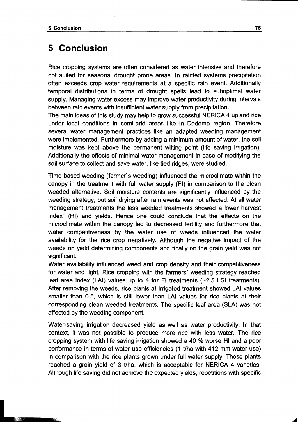## **5 Conclusion**

Rice cropping systems are often considered as water intensive and therefore not suited for seasonal drought prone areas. In rainfed systems precipitation often exceeds crop water requirements at a specific rain event. Additionally temporal distributions in terms of drought speils lead to suboptimal water supply. Managing water excess may improve water productivity during intervals between rain events with insufficient water supply from precipitation.

The main ideas of this study may help to grow successful NERICA 4 upland rice under local conditions in semi-arid areas like in Dodoma region. Therefore several water management practices fike an adapted weeding management were implemented. Furthermore by adding a minimum amount of water, the soil moisture was kept above the permanent wilting point (life saving irrigation). Additionally the effects of minimal water management in case of modifying the soil surface to collect and save water, like tied ridges, were studied.

Time based weeding (farmer's weeding) influenced the microclimate within the canopy in the treatment with full water supply (FI) in comparison to the clean weeded alternative. Soil moisture contents are significantly influenced by the weeding strategy, but soil drying after rain events was not affected. At all water management treatments the less weeded treatments showed a lower harvest index' (HI) and yields. Hence one could conclude that the effects on the microclimate within the canopy led to decreased fertility and furthermore that water competitiveness by the water use of weeds influenced the water availability for the rice crop negatively. Although the negative impact of the weeds on yield determining components and finally on the grain yield was not significant.

Water availability influenced weed and crop density and their competitiveness for water and light. Rice cropping with the farmers' weeding strategy reached leaf area index (LAI) values up to 4 for FI treatments  $(-2.5$  LSI treatments). After removing the weeds, rice plants at irrigated treatment showed LAI values smaller than 0.5, which is still lower than LAI values for rice plants at their corresponding clean weeded treatments. The specific leaf area (SLA) was not affected by the weeding component.

Water-saving irrigation decreased yield as weil as water productivity. In that context, it was not possible to produce more rice with less water. The rice cropping system with life saving irrigation showed a 40 % worse HI and a poor performance in terms of water use efficiencies (1 tlha with 412 mm water use) in comparison with the rice plants grown under full water supply. Those plants reached a grain yield of 3 t/ha, which is acceptable for NERICA 4 varieties. Although life saving did not achieve the expected yields, repetitions with specific